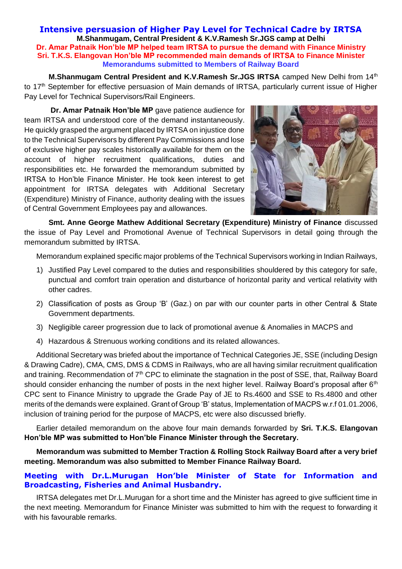## **Intensive persuasion of Higher Pay Level for Technical Cadre by IRTSA M.Shanmugam, Central President & K.V.Ramesh Sr.JGS camp at Delhi Dr. Amar Patnaik Hon'ble MP helped team IRTSA to pursue the demand with Finance Ministry Sri. T.K.S. Elangovan Hon'ble MP recommended main demands of IRTSA to Finance Minister Memorandums submitted to Members of Railway Board**

**M.Shanmugam Central President and K.V.Ramesh Sr.JGS IRTSA camped New Delhi from 14th** to 17<sup>th</sup> September for effective persuasion of Main demands of IRTSA, particularly current issue of Higher Pay Level for Technical Supervisors/Rail Engineers.

**Dr. Amar Patnaik Hon'ble MP** gave patience audience for team IRTSA and understood core of the demand instantaneously. He quickly grasped the argument placed by IRTSA on injustice done to the Technical Supervisors by different Pay Commissions and lose of exclusive higher pay scales historically available for them on the account of higher recruitment qualifications, duties and responsibilities etc. He forwarded the memorandum submitted by IRTSA to Hon'ble Finance Minister. He took keen interest to get appointment for IRTSA delegates with Additional Secretary (Expenditure) Ministry of Finance, authority dealing with the issues of Central Government Employees pay and allowances.



**Smt. Anne George Mathew Additional Secretary (Expenditure) Ministry of Finance** discussed the issue of Pay Level and Promotional Avenue of Technical Supervisors in detail going through the memorandum submitted by IRTSA.

Memorandum explained specific major problems of the Technical Supervisors working in Indian Railways,

- 1) Justified Pay Level compared to the duties and responsibilities shouldered by this category for safe, punctual and comfort train operation and disturbance of horizontal parity and vertical relativity with other cadres.
- 2) Classification of posts as Group 'B' (Gaz.) on par with our counter parts in other Central & State Government departments.
- 3) Negligible career progression due to lack of promotional avenue & Anomalies in MACPS and
- 4) Hazardous & Strenuous working conditions and its related allowances.

Additional Secretary was briefed about the importance of Technical Categories JE, SSE (including Design & Drawing Cadre), CMA, CMS, DMS & CDMS in Railways, who are all having similar recruitment qualification and training. Recommendation of 7<sup>th</sup> CPC to eliminate the stagnation in the post of SSE, that, Railway Board should consider enhancing the number of posts in the next higher level. Railway Board's proposal after 6<sup>th</sup> CPC sent to Finance Ministry to upgrade the Grade Pay of JE to Rs.4600 and SSE to Rs.4800 and other merits of the demands were explained. Grant of Group 'B' status, Implementation of MACPS w.r.f 01.01.2006, inclusion of training period for the purpose of MACPS, etc were also discussed briefly.

Earlier detailed memorandum on the above four main demands forwarded by **Sri. T.K.S. Elangovan Hon'ble MP was submitted to Hon'ble Finance Minister through the Secretary.** 

**Memorandum was submitted to Member Traction & Rolling Stock Railway Board after a very brief meeting. Memorandum was also submitted to Member Finance Railway Board.** 

## **Meeting with Dr.L.Murugan Hon'ble Minister of State for Information and Broadcasting, Fisheries and Animal Husbandry.**

IRTSA delegates met Dr.L.Murugan for a short time and the Minister has agreed to give sufficient time in the next meeting. Memorandum for Finance Minister was submitted to him with the request to forwarding it with his favourable remarks.